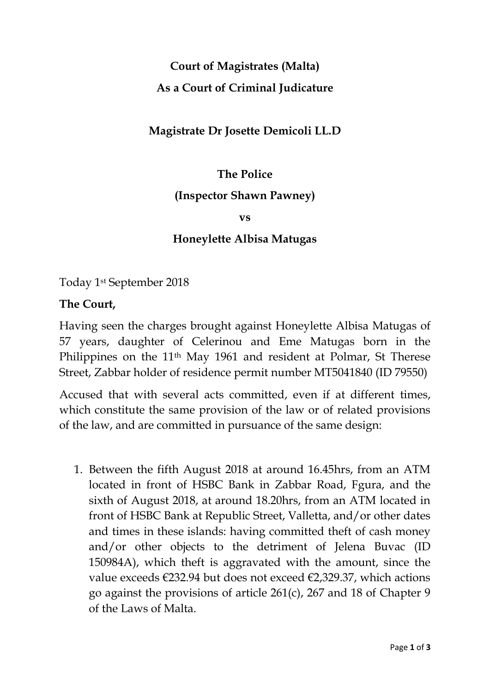# **Court of Magistrates (Malta) As a Court of Criminal Judicature**

## **Magistrate Dr Josette Demicoli LL.D**

## **The Police**

#### **(Inspector Shawn Pawney)**

**vs**

### **Honeylette Albisa Matugas**

Today 1st September 2018

#### **The Court,**

Having seen the charges brought against Honeylette Albisa Matugas of 57 years, daughter of Celerinou and Eme Matugas born in the Philippines on the 11th May 1961 and resident at Polmar, St Therese Street, Zabbar holder of residence permit number MT5041840 (ID 79550)

Accused that with several acts committed, even if at different times, which constitute the same provision of the law or of related provisions of the law, and are committed in pursuance of the same design:

1. Between the fifth August 2018 at around 16.45hrs, from an ATM located in front of HSBC Bank in Zabbar Road, Fgura, and the sixth of August 2018, at around 18.20hrs, from an ATM located in front of HSBC Bank at Republic Street, Valletta, and/or other dates and times in these islands: having committed theft of cash money and/or other objects to the detriment of Jelena Buvac (ID 150984A), which theft is aggravated with the amount, since the value exceeds €232.94 but does not exceed €2,329.37, which actions go against the provisions of article 261(c), 267 and 18 of Chapter 9 of the Laws of Malta.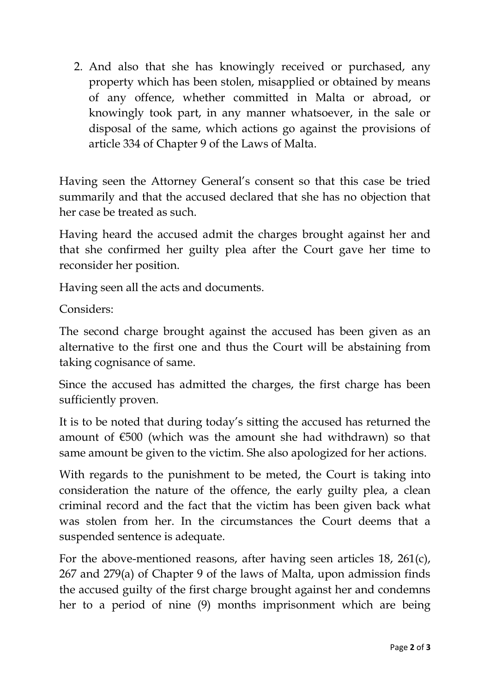2. And also that she has knowingly received or purchased, any property which has been stolen, misapplied or obtained by means of any offence, whether committed in Malta or abroad, or knowingly took part, in any manner whatsoever, in the sale or disposal of the same, which actions go against the provisions of article 334 of Chapter 9 of the Laws of Malta.

Having seen the Attorney General's consent so that this case be tried summarily and that the accused declared that she has no objection that her case be treated as such.

Having heard the accused admit the charges brought against her and that she confirmed her guilty plea after the Court gave her time to reconsider her position.

Having seen all the acts and documents.

Considers:

The second charge brought against the accused has been given as an alternative to the first one and thus the Court will be abstaining from taking cognisance of same.

Since the accused has admitted the charges, the first charge has been sufficiently proven.

It is to be noted that during today's sitting the accused has returned the amount of  $\epsilon$ 500 (which was the amount she had withdrawn) so that same amount be given to the victim. She also apologized for her actions.

With regards to the punishment to be meted, the Court is taking into consideration the nature of the offence, the early guilty plea, a clean criminal record and the fact that the victim has been given back what was stolen from her. In the circumstances the Court deems that a suspended sentence is adequate.

For the above-mentioned reasons, after having seen articles 18, 261(c), 267 and 279(a) of Chapter 9 of the laws of Malta, upon admission finds the accused guilty of the first charge brought against her and condemns her to a period of nine (9) months imprisonment which are being